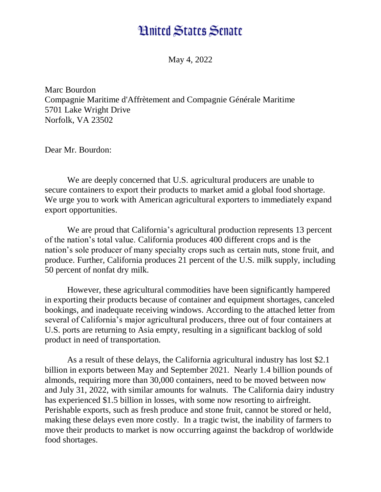## **Hnited States Senate**

May 4, 2022

Marc Bourdon Compagnie Maritime d'Affrètement and Compagnie Générale Maritime 5701 Lake Wright Drive Norfolk, VA 23502

Dear Mr. Bourdon:

We are deeply concerned that U.S. agricultural producers are unable to secure containers to export their products to market amid a global food shortage. We urge you to work with American agricultural exporters to immediately expand export opportunities.

We are proud that California's agricultural production represents 13 percent of the nation's total value. California produces 400 different crops and is the nation's sole producer of many specialty crops such as certain nuts, stone fruit, and produce. Further, California produces 21 percent of the U.S. milk supply, including 50 percent of nonfat dry milk.

However, these agricultural commodities have been significantly hampered in exporting their products because of container and equipment shortages, canceled bookings, and inadequate receiving windows. According to the attached letter from several of California's major agricultural producers, three out of four containers at U.S. ports are returning to Asia empty, resulting in a significant backlog of sold product in need of transportation.

As a result of these delays, the California agricultural industry has lost \$2.1 billion in exports between May and September 2021. Nearly 1.4 billion pounds of almonds, requiring more than 30,000 containers, need to be moved between now and July 31, 2022, with similar amounts for walnuts. The California dairy industry has experienced \$1.5 billion in losses, with some now resorting to airfreight. Perishable exports, such as fresh produce and stone fruit, cannot be stored or held, making these delays even more costly. In a tragic twist, the inability of farmers to move their products to market is now occurring against the backdrop of worldwide food shortages.